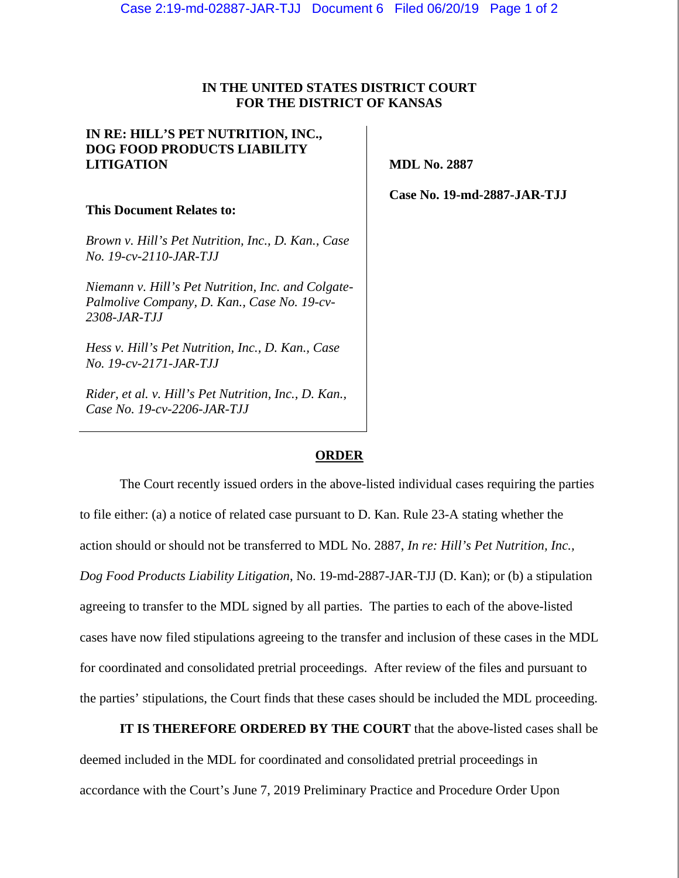## **IN THE UNITED STATES DISTRICT COURT FOR THE DISTRICT OF KANSAS**

 $\mathbf{L}$ 

| IN RE: HILL'S PET NUTRITION, INC.,<br><b>DOG FOOD PRODUCTS LIABILITY</b><br><b>LITIGATION</b>                            | <b>MDL No. 2887</b>         |
|--------------------------------------------------------------------------------------------------------------------------|-----------------------------|
| This Document Relates to:                                                                                                | Case No. 19-md-2887-JAR-TJJ |
| Brown v. Hill's Pet Nutrition, Inc., D. Kan., Case<br>No. 19-cv-2110-JAR-TJJ                                             |                             |
| Niemann v. Hill's Pet Nutrition, Inc. and Colgate-<br>Palmolive Company, D. Kan., Case No. 19-cv-<br><i>2308-JAR-TJJ</i> |                             |
| Hess v. Hill's Pet Nutrition, Inc., D. Kan., Case<br>No. 19-cv-2171-JAR-TJJ                                              |                             |
| Rider, et al. v. Hill's Pet Nutrition, Inc., D. Kan.,<br>Case No. 19-cv-2206-JAR-TJJ                                     |                             |

## **ORDER**

The Court recently issued orders in the above-listed individual cases requiring the parties to file either: (a) a notice of related case pursuant to D. Kan. Rule 23-A stating whether the action should or should not be transferred to MDL No. 2887, *In re: Hill's Pet Nutrition, Inc., Dog Food Products Liability Litigation*, No. 19-md-2887-JAR-TJJ (D. Kan); or (b) a stipulation agreeing to transfer to the MDL signed by all parties. The parties to each of the above-listed cases have now filed stipulations agreeing to the transfer and inclusion of these cases in the MDL for coordinated and consolidated pretrial proceedings. After review of the files and pursuant to the parties' stipulations, the Court finds that these cases should be included the MDL proceeding.

**IT IS THEREFORE ORDERED BY THE COURT** that the above-listed cases shall be deemed included in the MDL for coordinated and consolidated pretrial proceedings in accordance with the Court's June 7, 2019 Preliminary Practice and Procedure Order Upon